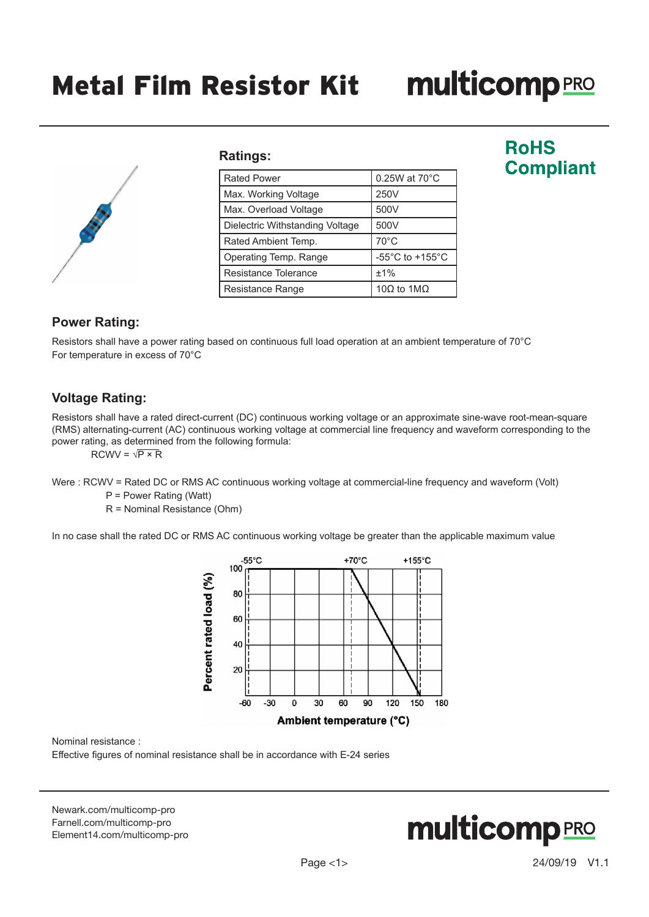# **multicomp**PRO



#### **Ratings:**

| <b>Rated Power</b>              | $0.25W$ at $70^{\circ}$ C             |
|---------------------------------|---------------------------------------|
| Max. Working Voltage            | 250V                                  |
| Max. Overload Voltage           | 500V                                  |
| Dielectric Withstanding Voltage | 500V                                  |
| Rated Ambient Temp.             | $70^{\circ}$ C                        |
| Operating Temp. Range           | -55 $^{\circ}$ C to +155 $^{\circ}$ C |
| Resistance Tolerance            | ±1%                                   |
| Resistance Range                | 10 $\Omega$ to 1M $\Omega$            |

# **RoHS Compliant**

### **Power Rating:**

Resistors shall have a power rating based on continuous full load operation at an ambient temperature of 70°C For temperature in excess of 70°C

#### **Voltage Rating:**

Resistors shall have a rated direct-current (DC) continuous working voltage or an approximate sine-wave root-mean-square (RMS) alternating-current (AC) continuous working voltage at commercial line frequency and waveform corresponding to the power rating, as determined from the following formula:

 $RCWV = \sqrt{P \times R}$ 

Were : RCWV = Rated DC or RMS AC continuous working voltage at commercial-line frequency and waveform (Volt)

P = Power Rating (Watt)

R = Nominal Resistance (Ohm)

In no case shall the rated DC or RMS AC continuous working voltage be greater than the applicable maximum value



Nominal resistance :

Effective figures of nominal resistance shall be in accordance with E-24 series

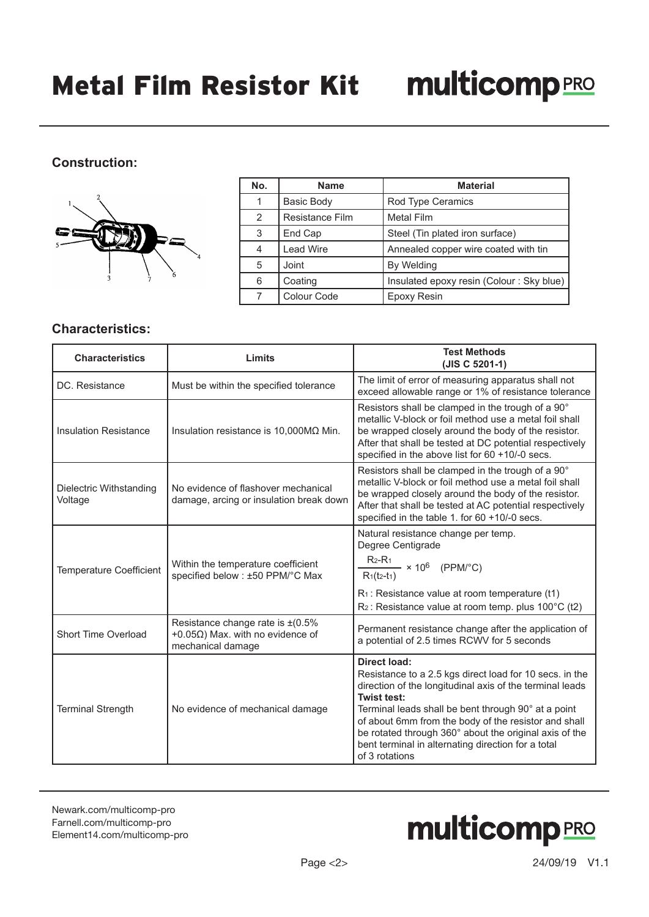### **Construction:**



| No. | <b>Name</b>       | <b>Material</b>                          |
|-----|-------------------|------------------------------------------|
|     | <b>Basic Body</b> | Rod Type Ceramics                        |
| 2   | Resistance Film   | <b>Metal Film</b>                        |
| 3   | End Cap           | Steel (Tin plated iron surface)          |
|     | <b>Lead Wire</b>  | Annealed copper wire coated with tin     |
| 5   | Joint             | By Welding                               |
| 6   | Coating           | Insulated epoxy resin (Colour: Sky blue) |
|     | Colour Code       | Epoxy Resin                              |

#### **Characteristics:**

| <b>Characteristics</b>             | Limits                                                                                                   | <b>Test Methods</b><br>(JIS C 5201-1)                                                                                                                                                                                                                                                                                                                                                                      |
|------------------------------------|----------------------------------------------------------------------------------------------------------|------------------------------------------------------------------------------------------------------------------------------------------------------------------------------------------------------------------------------------------------------------------------------------------------------------------------------------------------------------------------------------------------------------|
| DC. Resistance                     | Must be within the specified tolerance                                                                   | The limit of error of measuring apparatus shall not<br>exceed allowable range or 1% of resistance tolerance                                                                                                                                                                                                                                                                                                |
| <b>Insulation Resistance</b>       | Insulation resistance is $10,000\text{M}\Omega$ Min.                                                     | Resistors shall be clamped in the trough of a 90°<br>metallic V-block or foil method use a metal foil shall<br>be wrapped closely around the body of the resistor.<br>After that shall be tested at DC potential respectively<br>specified in the above list for 60 +10/-0 secs.                                                                                                                           |
| Dielectric Withstanding<br>Voltage | No evidence of flashover mechanical<br>damage, arcing or insulation break down                           | Resistors shall be clamped in the trough of a 90°<br>metallic V-block or foil method use a metal foil shall<br>be wrapped closely around the body of the resistor.<br>After that shall be tested at AC potential respectively<br>specified in the table 1. for 60 +10/-0 secs.                                                                                                                             |
| <b>Temperature Coefficient</b>     | Within the temperature coefficient<br>specified below : ±50 PPM/°C Max                                   | Natural resistance change per temp.<br>Degree Centigrade<br>$R_{2}$ -R <sub>1</sub><br>$-$ × 10 <sup>6</sup> (PPM/°C)<br>$R_1(t_2-t_1)$<br>$R_1$ : Resistance value at room temperature (t1)<br>$R_2$ : Resistance value at room temp. plus 100 $\degree$ C (t2)                                                                                                                                           |
| Short Time Overload                | Resistance change rate is $\pm (0.5\%$<br>+0.05 $\Omega$ ) Max. with no evidence of<br>mechanical damage | Permanent resistance change after the application of<br>a potential of 2.5 times RCWV for 5 seconds                                                                                                                                                                                                                                                                                                        |
| <b>Terminal Strength</b>           | No evidence of mechanical damage                                                                         | <b>Direct load:</b><br>Resistance to a 2.5 kgs direct load for 10 secs. in the<br>direction of the longitudinal axis of the terminal leads<br>Twist test:<br>Terminal leads shall be bent through 90° at a point<br>of about 6mm from the body of the resistor and shall<br>be rotated through 360° about the original axis of the<br>bent terminal in alternating direction for a total<br>of 3 rotations |

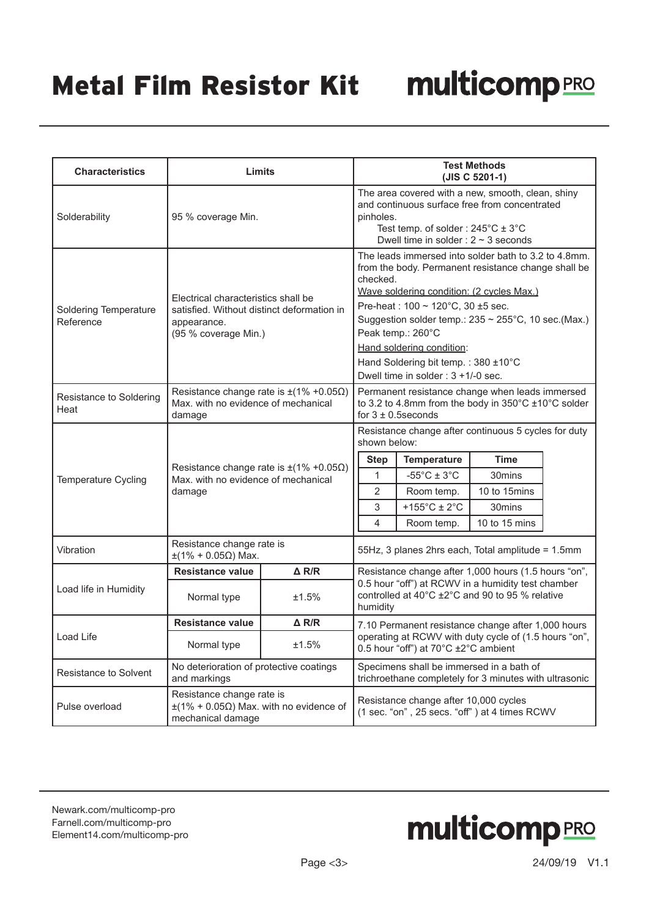# Metal Film Resistor Kit

| <b>Characteristics</b>                    | Limits                                                                                                                   |                 | <b>Test Methods</b><br>(JIS C 5201-1)                                                                                                                                                                                                                                                                                                                                                                        |                                                                                                                          |                                                                                                                          |  |
|-------------------------------------------|--------------------------------------------------------------------------------------------------------------------------|-----------------|--------------------------------------------------------------------------------------------------------------------------------------------------------------------------------------------------------------------------------------------------------------------------------------------------------------------------------------------------------------------------------------------------------------|--------------------------------------------------------------------------------------------------------------------------|--------------------------------------------------------------------------------------------------------------------------|--|
| Solderability                             | 95 % coverage Min.                                                                                                       |                 | The area covered with a new, smooth, clean, shiny<br>and continuous surface free from concentrated<br>pinholes.<br>Test temp. of solder: $245^{\circ}$ C ± 3°C<br>Dwell time in solder : $2 \sim 3$ seconds                                                                                                                                                                                                  |                                                                                                                          |                                                                                                                          |  |
| <b>Soldering Temperature</b><br>Reference | Electrical characteristics shall be<br>satisfied. Without distinct deformation in<br>appearance.<br>(95 % coverage Min.) |                 | The leads immersed into solder bath to 3.2 to 4.8mm.<br>from the body. Permanent resistance change shall be<br>checked.<br>Wave soldering condition: (2 cycles Max.)<br>Pre-heat: $100 \sim 120^{\circ}$ C, 30 ±5 sec.<br>Suggestion solder temp.: 235 ~ 255°C, 10 sec.(Max.)<br>Peak temp.: 260°C<br>Hand soldering condition:<br>Hand Soldering bit temp.: 380 ±10°C<br>Dwell time in solder: 3 +1/-0 sec. |                                                                                                                          |                                                                                                                          |  |
| Resistance to Soldering<br>Heat           | Resistance change rate is $\pm$ (1% +0.05 $\Omega$ )<br>Max. with no evidence of mechanical<br>damage                    |                 | Permanent resistance change when leads immersed<br>to 3.2 to 4.8mm from the body in 350°C ±10°C solder<br>for $3 \pm 0.5$ seconds                                                                                                                                                                                                                                                                            |                                                                                                                          |                                                                                                                          |  |
| <b>Temperature Cycling</b>                | Resistance change rate is $\pm(1\% + 0.05\Omega)$<br>Max. with no evidence of mechanical<br>damage                       |                 | shown below:<br><b>Step</b><br>1<br>$\overline{2}$<br>3<br>4                                                                                                                                                                                                                                                                                                                                                 | <b>Temperature</b><br>$-55^{\circ}$ C ± 3 $^{\circ}$ C<br>Room temp.<br>+155 $^{\circ}$ C ± 2 $^{\circ}$ C<br>Room temp. | Resistance change after continuous 5 cycles for duty<br><b>Time</b><br>30mins<br>10 to 15mins<br>30mins<br>10 to 15 mins |  |
| Vibration                                 | Resistance change rate is<br>$±$ (1% + 0.05Ω) Max.                                                                       |                 |                                                                                                                                                                                                                                                                                                                                                                                                              |                                                                                                                          | 55Hz, 3 planes 2hrs each, Total amplitude = 1.5mm                                                                        |  |
| Load life in Humidity                     | <b>Resistance value</b><br>$\triangle$ R/R<br>Normal type<br>±1.5%                                                       |                 | Resistance change after 1,000 hours (1.5 hours "on",<br>0.5 hour "off") at RCWV in a humidity test chamber<br>controlled at 40°C ±2°C and 90 to 95 % relative<br>humidity                                                                                                                                                                                                                                    |                                                                                                                          |                                                                                                                          |  |
|                                           | Resistance value                                                                                                         | $\triangle$ R/R | 7.10 Permanent resistance change after 1,000 hours                                                                                                                                                                                                                                                                                                                                                           |                                                                                                                          |                                                                                                                          |  |
| Load Life                                 | Normal type<br>±1.5%                                                                                                     |                 | operating at RCWV with duty cycle of (1.5 hours "on",<br>0.5 hour "off") at 70°C ±2°C ambient                                                                                                                                                                                                                                                                                                                |                                                                                                                          |                                                                                                                          |  |
| Resistance to Solvent                     | No deterioration of protective coatings<br>and markings                                                                  |                 | Specimens shall be immersed in a bath of<br>trichroethane completely for 3 minutes with ultrasonic                                                                                                                                                                                                                                                                                                           |                                                                                                                          |                                                                                                                          |  |
| Pulse overload                            | Resistance change rate is<br>$\pm$ (1% + 0.05 $\Omega$ ) Max. with no evidence of<br>mechanical damage                   |                 |                                                                                                                                                                                                                                                                                                                                                                                                              | Resistance change after 10,000 cycles                                                                                    | (1 sec. "on", 25 secs. "off") at 4 times RCWV                                                                            |  |

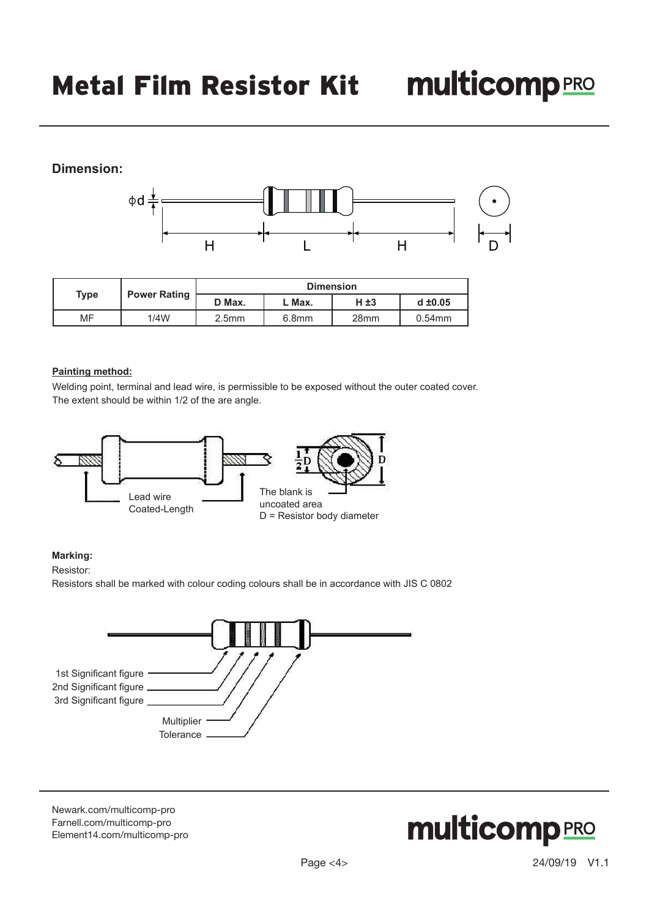## **Dimension:**



|                                    |        |                   |                   | <b>Dimension</b> |           |
|------------------------------------|--------|-------------------|-------------------|------------------|-----------|
| <b>Power Rating</b><br><b>Type</b> | D Max. | . Max.            | H ±3              | $d \pm 0.05$     |           |
| MF                                 | 1/4W   | 2.5 <sub>mm</sub> | 6.8 <sub>mm</sub> | 28 <sub>mm</sub> | $0.54$ mm |

#### **Painting method:**

Welding point, terminal and lead wire, is permissible to be exposed without the outer coated cover. The extent should be within 1/2 of the are angle.



#### **Marking:**

Resistor:

Resistors shall be marked with colour coding colours shall be in accordance with JIS C 0802



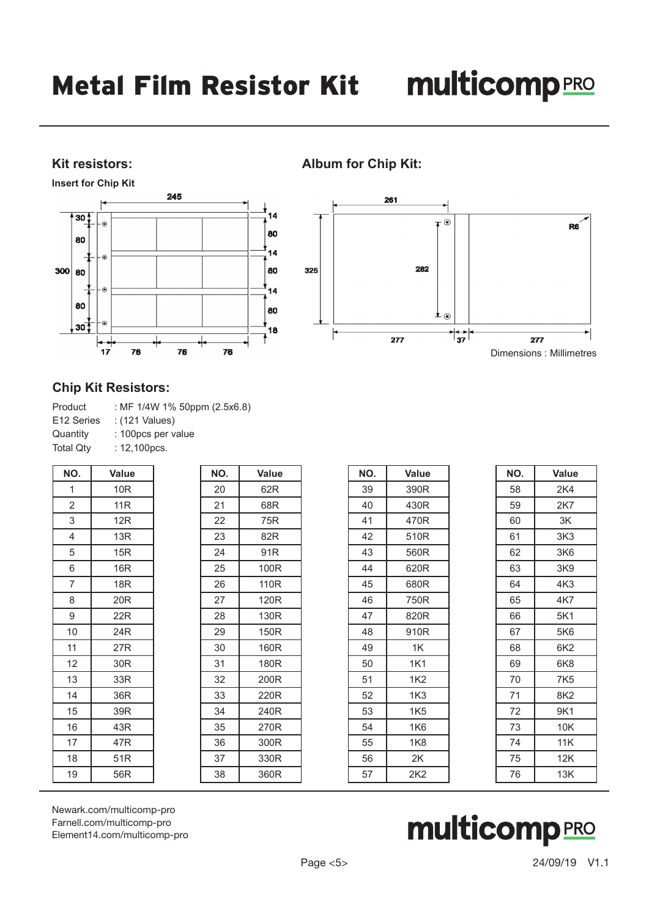#### **Kit resistors:**

**Insert for Chip Kit**



### **Album for Chip Kit:**



#### **Chip Kit Resistors:**

| : MF 1/4W 1% 50ppm (2.5x6.8) |
|------------------------------|
| : (121 Values)               |
| : 100pcs per value           |
| : $12,100$ pcs.              |
|                              |

| NO.            | <b>Value</b>    | NO. | <b>Value</b> |
|----------------|-----------------|-----|--------------|
| 1              | 10 <sub>R</sub> | 20  | 62R          |
| $\overline{2}$ | 11R             | 21  | 68R          |
| 3              | 12R             | 22  | 75R          |
| 4              | 13R             | 23  | 82R          |
| 5              | 15R             | 24  | 91R          |
| 6              | 16R             | 25  | 100R         |
| 7              | 18 <sub>R</sub> | 26  | 110R         |
| 8              | 20 <sub>R</sub> | 27  | 120R         |
| 9              | 22R             | 28  | 130R         |
| 10             | 24R             | 29  | 150R         |
| 11             | 27R             | 30  | 160R         |
| 12             | 30 <sub>R</sub> | 31  | 180R         |
| 13             | 33R             | 32  | 200R         |
| 14             | 36R             | 33  | 220R         |
| 15             | 39R             | 34  | 240R         |
| 16             | 43R             | 35  | 270R         |
| 17             | 47 <sub>R</sub> | 36  | 300R         |
| 18             | 51R             | 37  | 330R         |
| 19             | 56R             | 38  | 360R         |

| NO. | Value           |
|-----|-----------------|
| 39  | 390R            |
| 40  | 430R            |
| 41  | 470R            |
| 42  | 510R            |
| 43  | 560R            |
| 44  | 620R            |
| 45  | 680R            |
| 46  | 750R            |
| 47  | 820R            |
| 48  | 910R            |
| 49  | 1K              |
| 50  | 1K1             |
| 51  | 1K2             |
| 52  | 1K3             |
| 53  | 1K5             |
| 54  | 1K6             |
| 55  | 1K8             |
| 56  | 2K              |
| 57  | 2K <sub>2</sub> |
|     |                 |

| NO. | <b>Value</b>    |
|-----|-----------------|
| 58  | 2K4             |
| 59  | 2K7             |
| 60  | ЗK              |
| 61  | 3K <sub>3</sub> |
| 62  | 3K6             |
| 63  | 3K9             |
| 64  | 4K3             |
| 65  | 4K7             |
| 66  | 5K1             |
| 67  | 5K6             |
| 68  | 6K2             |
| 69  | 6K8             |
| 70  | 7K5             |
| 71  | 8K <sub>2</sub> |
| 72  | 9K1             |
| 73  | 10K             |
| 74  | 11K             |
| 75  | 12K             |
| 76  | 13K             |